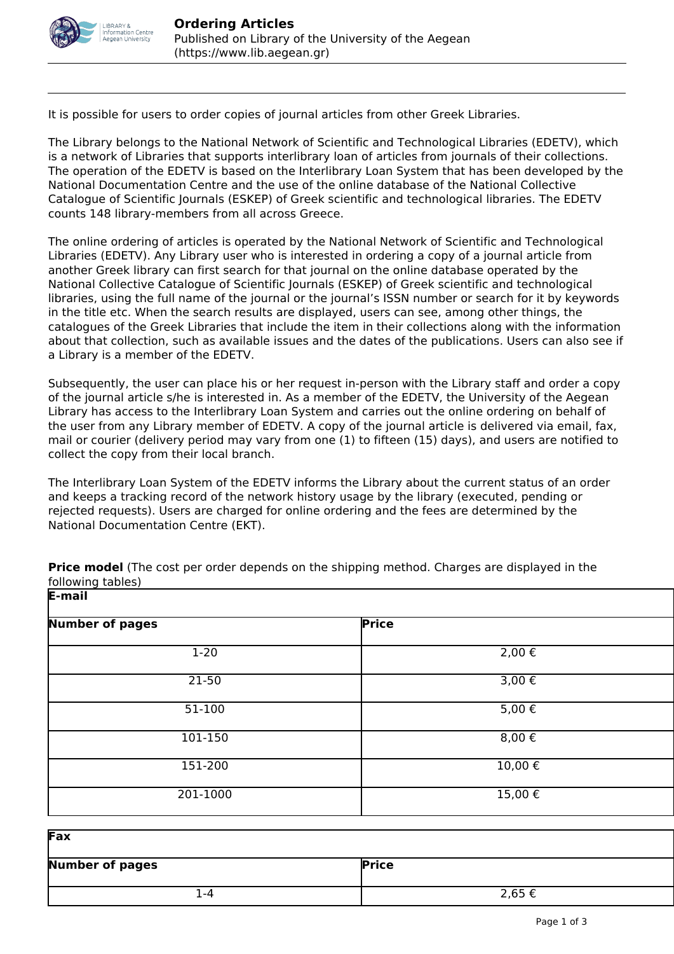

It is possible for users to order copies of journal articles from other Greek Libraries.

The Library belongs to the National Network of Scientific and Technological Libraries (EDETV), which is a network of Libraries that supports interlibrary loan of articles from journals of their collections. The operation of the EDETV is based on the Interlibrary Loan System that has been developed by the National Documentation Centre and the use of the online database of the National Collective Catalogue of Scientific Journals (ESKEP) of Greek scientific and technological libraries. The EDETV counts 148 library-members from all across Greece.

The online ordering of articles is operated by the National Network of Scientific and Technological Libraries (EDETV). Any Library user who is interested in ordering a copy of a journal article from another Greek library can first search for that journal on the online database operated by the National Collective Catalogue of Scientific Journals (ESKEP) of Greek scientific and technological libraries, using the full name of the journal or the journal's ISSN number or search for it by keywords in the title etc. When the search results are displayed, users can see, among other things, the catalogues of the Greek Libraries that include the item in their collections along with the information about that collection, such as available issues and the dates of the publications. Users can also see if a Library is a member of the EDETV.

Subsequently, the user can place his or her request in-person with the Library staff and order a copy of the journal article s/he is interested in. As a member of the EDETV, the University of the Aegean Library has access to the Interlibrary Loan System and carries out the online ordering on behalf of the user from any Library member of EDETV. A copy of the journal article is delivered via email, fax, mail or courier (delivery period may vary from one (1) to fifteen (15) days), and users are notified to collect the copy from their local branch.

The Interlibrary Loan System of the EDETV informs the Library about the current status of an order and keeps a tracking record of the network history usage by the library (executed, pending or rejected requests). Users are charged for online ordering and the fees are determined by the National Documentation Centre (EKT).

| р-шан                  |              |  |
|------------------------|--------------|--|
| <b>Number of pages</b> | <b>Price</b> |  |
| $1-20$                 | $2,00 \in$   |  |
| 21-50                  | $3,00 \in$   |  |
| $51-100$               | $5,00 \in$   |  |
| 101-150                | $8,00 \in$   |  |
| 151-200                | 10,00€       |  |
| 201-1000               | $15,00 \in$  |  |

**Price model** (The cost per order depends on the shipping method. Charges are displayed in the following tables) **E-mail**

| Fax                    |              |
|------------------------|--------------|
| <b>Number of pages</b> | <b>Price</b> |
| -4                     | 2,65 €       |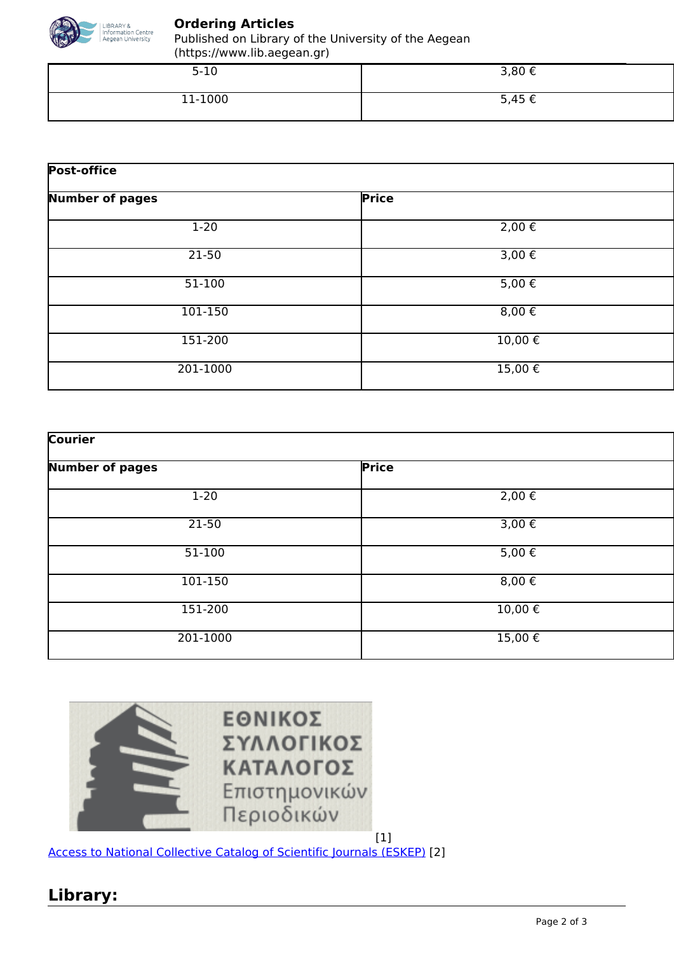

#### **Ordering Articles**

Published on Library of the University of the Aegean (https://www.lib.aegean.gr)

| $5 - 10$ | 3,80 € |
|----------|--------|
| 11-1000  | 5,45€  |

| <b>Post-office</b>     |            |  |
|------------------------|------------|--|
| <b>Number of pages</b> | Price      |  |
| $1-20$                 | $2,00 \in$ |  |
| 21-50                  | 3,00€      |  |
| $51-100$               | $5,00 \in$ |  |
| 101-150                | $8,00 \in$ |  |
| 151-200                | 10,00€     |  |
| 201-1000               | 15,00€     |  |

| <b>Courier</b>         |                 |  |
|------------------------|-----------------|--|
| <b>Number of pages</b> | <b>Price</b>    |  |
| $1-20$                 | $2,00 \in$      |  |
| $21-50$                | $3,00 \in$      |  |
| $51 - 100$             | $5,00 \in$      |  |
| 101-150                | 8,00 $\epsilon$ |  |
| 151-200                | $10,00 \in$     |  |
| 201-1000               | 15,00€          |  |



[Access to National Collective Catalog of Scientific Journals \(ESKEP\)](http://eskep.ekt.gr/eskep/journal/search) [2]

## **Library:**